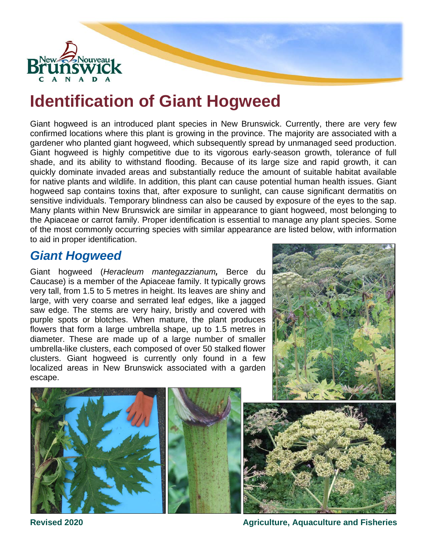

# **Identification of Giant Hogweed**

Giant hogweed is an introduced plant species in New Brunswick. Currently, there are very few confirmed locations where this plant is growing in the province. The majority are associated with a gardener who planted giant hogweed, which subsequently spread by unmanaged seed production. Giant hogweed is highly competitive due to its vigorous early-season growth, tolerance of full shade, and its ability to withstand flooding. Because of its large size and rapid growth, it can quickly dominate invaded areas and substantially reduce the amount of suitable habitat available for native plants and wildlife. In addition, this plant can cause potential human health issues. Giant hogweed sap contains toxins that, after exposure to sunlight, can cause significant dermatitis on sensitive individuals. Temporary blindness can also be caused by exposure of the eyes to the sap. Many plants within New Brunswick are similar in appearance to giant hogweed, most belonging to the Apiaceae or carrot family. Proper identification is essential to manage any plant species. Some of the most commonly occurring species with similar appearance are listed below, with information to aid in proper identification.

#### *Giant Hogweed*

Giant hogweed (*Heracleum mantegazzianum,* Berce du Caucase) is a member of the Apiaceae family. It typically grows very tall, from 1.5 to 5 metres in height. Its leaves are shiny and large, with very coarse and serrated leaf edges, like a jagged saw edge. The stems are very hairy, bristly and covered with purple spots or blotches. When mature, the plant produces flowers that form a large umbrella shape, up to 1.5 metres in diameter. These are made up of a large number of smaller umbrella-like clusters, each composed of over 50 stalked flower clusters. Giant hogweed is currently only found in a few localized areas in New Brunswick associated with a garden escape.







**Revised 2020 Agriculture, Aquaculture and Fisheries**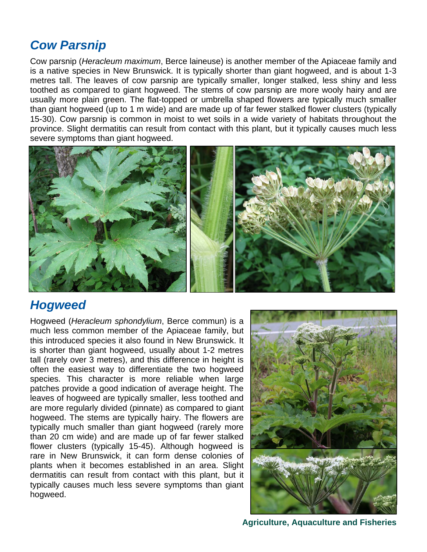### *Cow Parsnip*

Cow parsnip (*Heracleum maximum*, Berce laineuse) is another member of the Apiaceae family and is a native species in New Brunswick. It is typically shorter than giant hogweed, and is about 1-3 metres tall. The leaves of cow parsnip are typically smaller, longer stalked, less shiny and less toothed as compared to giant hogweed. The stems of cow parsnip are more wooly hairy and are usually more plain green. The flat-topped or umbrella shaped flowers are typically much smaller than giant hogweed (up to 1 m wide) and are made up of far fewer stalked flower clusters (typically 15-30). Cow parsnip is common in moist to wet soils in a wide variety of habitats throughout the province. Slight dermatitis can result from contact with this plant, but it typically causes much less severe symptoms than giant hogweed.



#### *Hogweed*

Hogweed (*Heracleum sphondylium*, Berce commun) is a much less common member of the Apiaceae family, but this introduced species it also found in New Brunswick. It is shorter than giant hogweed, usually about 1-2 metres tall (rarely over 3 metres), and this difference in height is often the easiest way to differentiate the two hogweed species. This character is more reliable when large patches provide a good indication of average height. The leaves of hogweed are typically smaller, less toothed and are more regularly divided (pinnate) as compared to giant hogweed. The stems are typically hairy. The flowers are typically much smaller than giant hogweed (rarely more than 20 cm wide) and are made up of far fewer stalked flower clusters (typically 15-45). Although hogweed is rare in New Brunswick, it can form dense colonies of plants when it becomes established in an area. Slight dermatitis can result from contact with this plant, but it typically causes much less severe symptoms than giant hogweed.



**Agriculture, Aquaculture and Fisheries**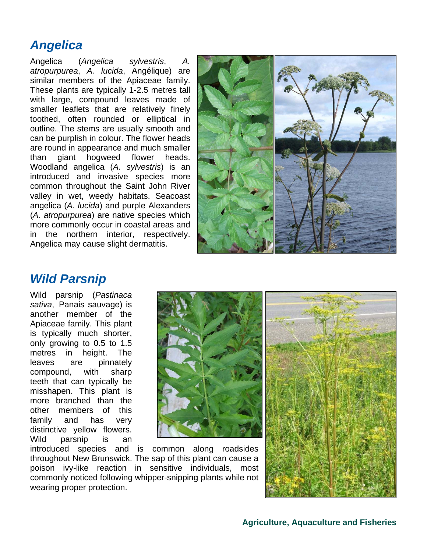## *Angelica*

Angelica (*Angelica sylvestris*, *A. atropurpurea*, *A. lucida*, Angélique) are similar members of the Apiaceae family. These plants are typically 1-2.5 metres tall with large, compound leaves made of smaller leaflets that are relatively finely toothed, often rounded or elliptical in outline. The stems are usually smooth and can be purplish in colour. The flower heads are round in appearance and much smaller than giant hogweed flower heads. Woodland angelica (*A. sylvestris*) is an introduced and invasive species more common throughout the Saint John River valley in wet, weedy habitats. Seacoast angelica (*A. lucida*) and purple Alexanders (*A. atropurpurea*) are native species which more commonly occur in coastal areas and in the northern interior, respectively. Angelica may cause slight dermatitis.



#### *Wild Parsnip*

Wild parsnip (*Pastinaca sativa*, Panais sauvage) is another member of the Apiaceae family. This plant is typically much shorter, only growing to 0.5 to 1.5 metres in height. The leaves are pinnately compound, with sharp teeth that can typically be misshapen. This plant is more branched than the other members of this family and has very distinctive yellow flowers. Wild parsnip is an





introduced species and is common along roadsides throughout New Brunswick. The sap of this plant can cause a poison ivy-like reaction in sensitive individuals, most commonly noticed following whipper-snipping plants while not wearing proper protection.